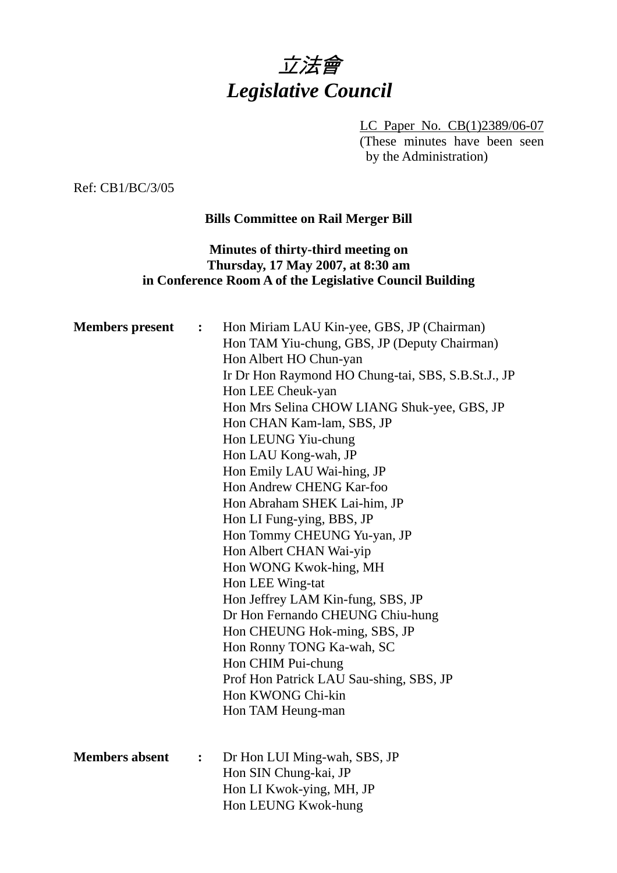

LC Paper No. CB(1)2389/06-07 (These minutes have been seen by the Administration)

Ref: CB1/BC/3/05

## **Bills Committee on Rail Merger Bill**

## **Minutes of thirty-third meeting on Thursday, 17 May 2007, at 8:30 am in Conference Room A of the Legislative Council Building**

| <b>Members present</b> | $\ddot{\cdot}$   | Hon Miriam LAU Kin-yee, GBS, JP (Chairman)<br>Hon TAM Yiu-chung, GBS, JP (Deputy Chairman)<br>Hon Albert HO Chun-yan<br>Ir Dr Hon Raymond HO Chung-tai, SBS, S.B.St.J., JP<br>Hon LEE Cheuk-yan<br>Hon Mrs Selina CHOW LIANG Shuk-yee, GBS, JP<br>Hon CHAN Kam-lam, SBS, JP<br>Hon LEUNG Yiu-chung<br>Hon LAU Kong-wah, JP<br>Hon Emily LAU Wai-hing, JP<br>Hon Andrew CHENG Kar-foo<br>Hon Abraham SHEK Lai-him, JP<br>Hon LI Fung-ying, BBS, JP<br>Hon Tommy CHEUNG Yu-yan, JP<br>Hon Albert CHAN Wai-yip<br>Hon WONG Kwok-hing, MH<br>Hon LEE Wing-tat<br>Hon Jeffrey LAM Kin-fung, SBS, JP<br>Dr Hon Fernando CHEUNG Chiu-hung<br>Hon CHEUNG Hok-ming, SBS, JP<br>Hon Ronny TONG Ka-wah, SC<br>Hon CHIM Pui-chung<br>Prof Hon Patrick LAU Sau-shing, SBS, JP<br>Hon KWONG Chi-kin<br>Hon TAM Heung-man |
|------------------------|------------------|------------------------------------------------------------------------------------------------------------------------------------------------------------------------------------------------------------------------------------------------------------------------------------------------------------------------------------------------------------------------------------------------------------------------------------------------------------------------------------------------------------------------------------------------------------------------------------------------------------------------------------------------------------------------------------------------------------------------------------------------------------------------------------------------------------|
| <b>Members absent</b>  | $\ddot{\bullet}$ | Dr Hon LUI Ming-wah, SBS, JP<br>Hon SIN Chung-kai, JP<br>Hon LI Kwok-ying, MH, JP<br>Hon LEUNG Kwok-hung                                                                                                                                                                                                                                                                                                                                                                                                                                                                                                                                                                                                                                                                                                   |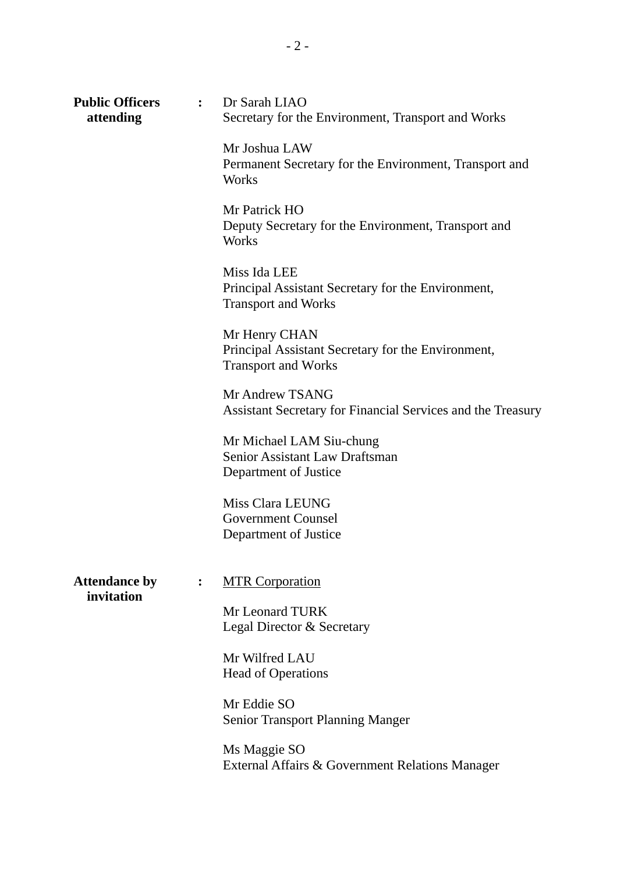| <b>Public Officers</b><br>attending | $\mathbf{L}$   | Dr Sarah LIAO<br>Secretary for the Environment, Transport and Works                               |
|-------------------------------------|----------------|---------------------------------------------------------------------------------------------------|
|                                     |                | Mr Joshua LAW<br>Permanent Secretary for the Environment, Transport and<br>Works                  |
|                                     |                | Mr Patrick HO<br>Deputy Secretary for the Environment, Transport and<br>Works                     |
|                                     |                | Miss Ida LEE<br>Principal Assistant Secretary for the Environment,<br><b>Transport and Works</b>  |
|                                     |                | Mr Henry CHAN<br>Principal Assistant Secretary for the Environment,<br><b>Transport and Works</b> |
|                                     |                | Mr Andrew TSANG<br>Assistant Secretary for Financial Services and the Treasury                    |
|                                     |                | Mr Michael LAM Siu-chung<br>Senior Assistant Law Draftsman<br>Department of Justice               |
|                                     |                | Miss Clara LEUNG<br><b>Government Counsel</b><br>Department of Justice                            |
| <b>Attendance by</b><br>invitation  | $\ddot{\cdot}$ | <b>MTR Corporation</b>                                                                            |
|                                     |                | Mr Leonard TURK<br>Legal Director & Secretary                                                     |
|                                     |                | Mr Wilfred LAU<br><b>Head of Operations</b>                                                       |
|                                     |                | Mr Eddie SO<br><b>Senior Transport Planning Manger</b>                                            |
|                                     |                | Ms Maggie SO<br>External Affairs & Government Relations Manager                                   |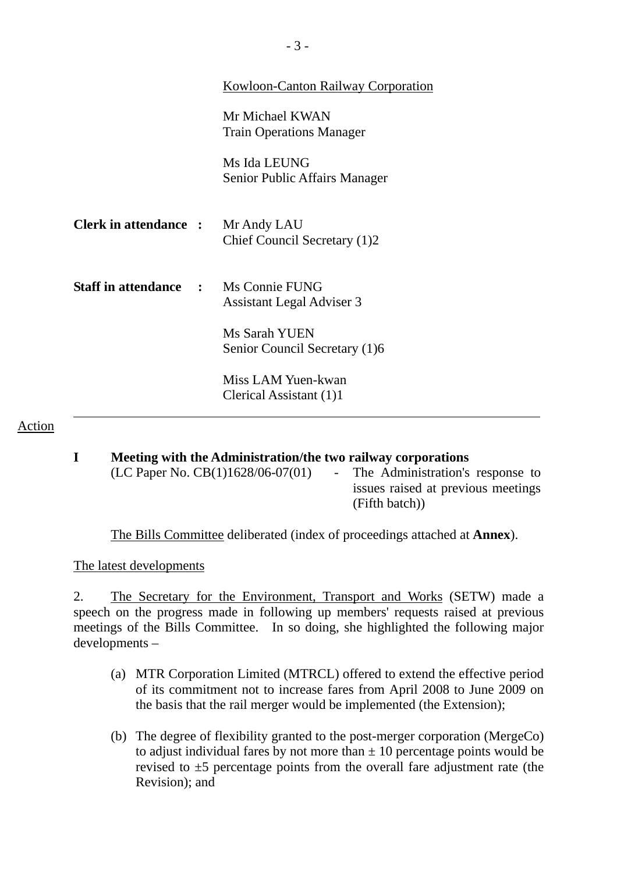|                              | Kowloon-Canton Railway Corporation                 |
|------------------------------|----------------------------------------------------|
|                              | Mr Michael KWAN<br><b>Train Operations Manager</b> |
|                              | Ms Ida LEUNG<br>Senior Public Affairs Manager      |
| <b>Clerk in attendance :</b> | Mr Andy LAU<br>Chief Council Secretary (1)2        |
| <b>Staff in attendance :</b> | Ms Connie FUNG<br><b>Assistant Legal Adviser 3</b> |
|                              | Ms Sarah YUEN<br>Senior Council Secretary (1)6     |
|                              | Miss LAM Yuen-kwan<br>Clerical Assistant (1)1      |

### Action

### **I Meeting with the Administration/the two railway corporations**   $(LC$  Paper No.  $CB(1)1628/06-07(01)$  - The Administration's response to issues raised at previous meetings (Fifth batch))

The Bills Committee deliberated (index of proceedings attached at **Annex**).

The latest developments

2. The Secretary for the Environment, Transport and Works (SETW) made a speech on the progress made in following up members' requests raised at previous meetings of the Bills Committee. In so doing, she highlighted the following major developments –

- (a) MTR Corporation Limited (MTRCL) offered to extend the effective period of its commitment not to increase fares from April 2008 to June 2009 on the basis that the rail merger would be implemented (the Extension);
- (b) The degree of flexibility granted to the post-merger corporation (MergeCo) to adjust individual fares by not more than  $\pm 10$  percentage points would be revised to  $\pm 5$  percentage points from the overall fare adjustment rate (the Revision); and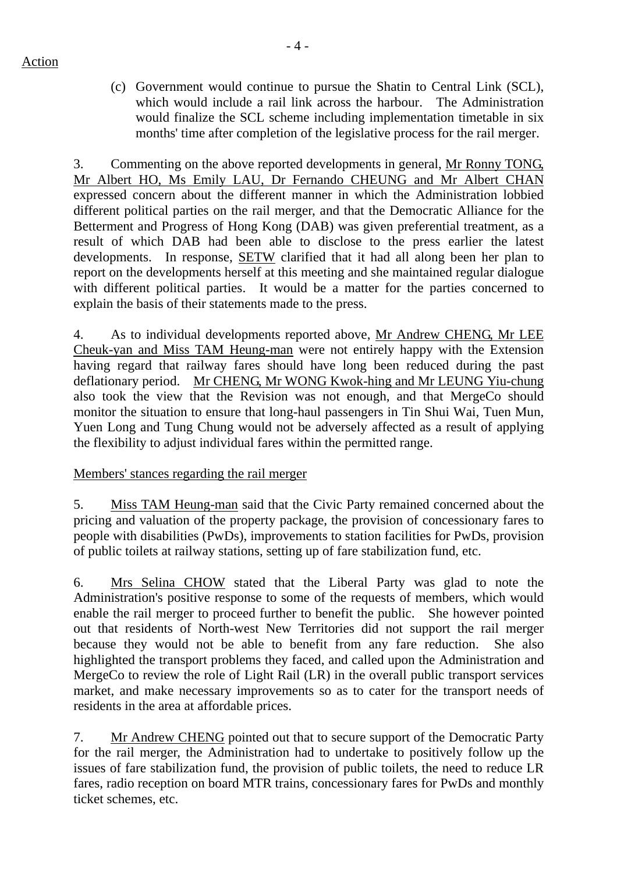Action

(c) Government would continue to pursue the Shatin to Central Link (SCL), which would include a rail link across the harbour. The Administration would finalize the SCL scheme including implementation timetable in six months' time after completion of the legislative process for the rail merger.

3. Commenting on the above reported developments in general, Mr Ronny TONG, Mr Albert HO, Ms Emily LAU, Dr Fernando CHEUNG and Mr Albert CHAN expressed concern about the different manner in which the Administration lobbied different political parties on the rail merger, and that the Democratic Alliance for the Betterment and Progress of Hong Kong (DAB) was given preferential treatment, as a result of which DAB had been able to disclose to the press earlier the latest developments. In response, SETW clarified that it had all along been her plan to report on the developments herself at this meeting and she maintained regular dialogue with different political parties. It would be a matter for the parties concerned to explain the basis of their statements made to the press.

4. As to individual developments reported above, Mr Andrew CHENG, Mr LEE Cheuk-yan and Miss TAM Heung-man were not entirely happy with the Extension having regard that railway fares should have long been reduced during the past deflationary period. Mr CHENG, Mr WONG Kwok-hing and Mr LEUNG Yiu-chung also took the view that the Revision was not enough, and that MergeCo should monitor the situation to ensure that long-haul passengers in Tin Shui Wai, Tuen Mun, Yuen Long and Tung Chung would not be adversely affected as a result of applying the flexibility to adjust individual fares within the permitted range.

# Members' stances regarding the rail merger

5. Miss TAM Heung-man said that the Civic Party remained concerned about the pricing and valuation of the property package, the provision of concessionary fares to people with disabilities (PwDs), improvements to station facilities for PwDs, provision of public toilets at railway stations, setting up of fare stabilization fund, etc.

6. Mrs Selina CHOW stated that the Liberal Party was glad to note the Administration's positive response to some of the requests of members, which would enable the rail merger to proceed further to benefit the public. She however pointed out that residents of North-west New Territories did not support the rail merger because they would not be able to benefit from any fare reduction. She also highlighted the transport problems they faced, and called upon the Administration and MergeCo to review the role of Light Rail (LR) in the overall public transport services market, and make necessary improvements so as to cater for the transport needs of residents in the area at affordable prices.

7. Mr Andrew CHENG pointed out that to secure support of the Democratic Party for the rail merger, the Administration had to undertake to positively follow up the issues of fare stabilization fund, the provision of public toilets, the need to reduce LR fares, radio reception on board MTR trains, concessionary fares for PwDs and monthly ticket schemes, etc.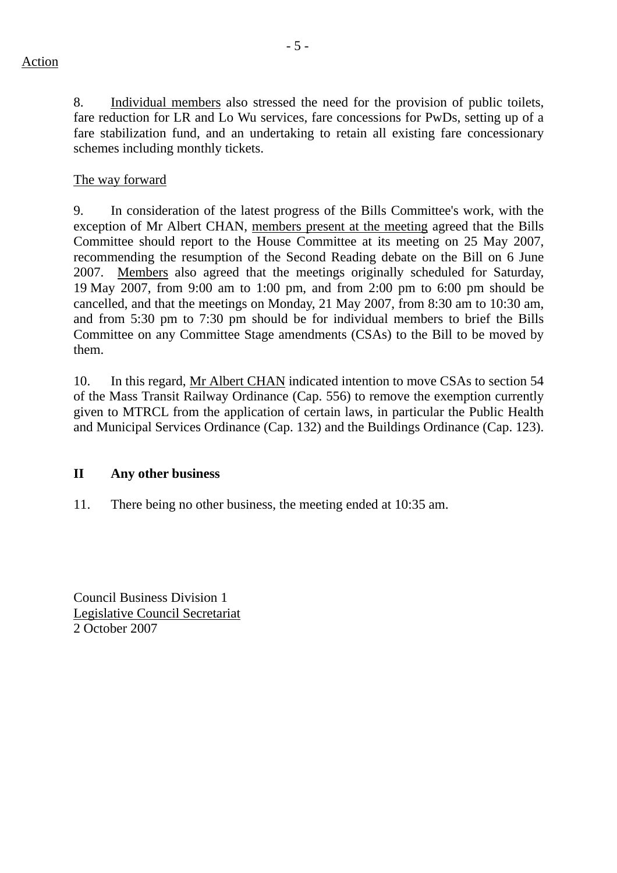8. Individual members also stressed the need for the provision of public toilets, fare reduction for LR and Lo Wu services, fare concessions for PwDs, setting up of a fare stabilization fund, and an undertaking to retain all existing fare concessionary schemes including monthly tickets.

# The way forward

9. In consideration of the latest progress of the Bills Committee's work, with the exception of Mr Albert CHAN, members present at the meeting agreed that the Bills Committee should report to the House Committee at its meeting on 25 May 2007, recommending the resumption of the Second Reading debate on the Bill on 6 June 2007. Members also agreed that the meetings originally scheduled for Saturday, 19 May 2007, from 9:00 am to 1:00 pm, and from 2:00 pm to 6:00 pm should be cancelled, and that the meetings on Monday, 21 May 2007, from 8:30 am to 10:30 am, and from 5:30 pm to 7:30 pm should be for individual members to brief the Bills Committee on any Committee Stage amendments (CSAs) to the Bill to be moved by them.

10. In this regard, Mr Albert CHAN indicated intention to move CSAs to section 54 of the Mass Transit Railway Ordinance (Cap. 556) to remove the exemption currently given to MTRCL from the application of certain laws, in particular the Public Health and Municipal Services Ordinance (Cap. 132) and the Buildings Ordinance (Cap. 123).

### **II Any other business**

11. There being no other business, the meeting ended at 10:35 am.

Council Business Division 1 Legislative Council Secretariat 2 October 2007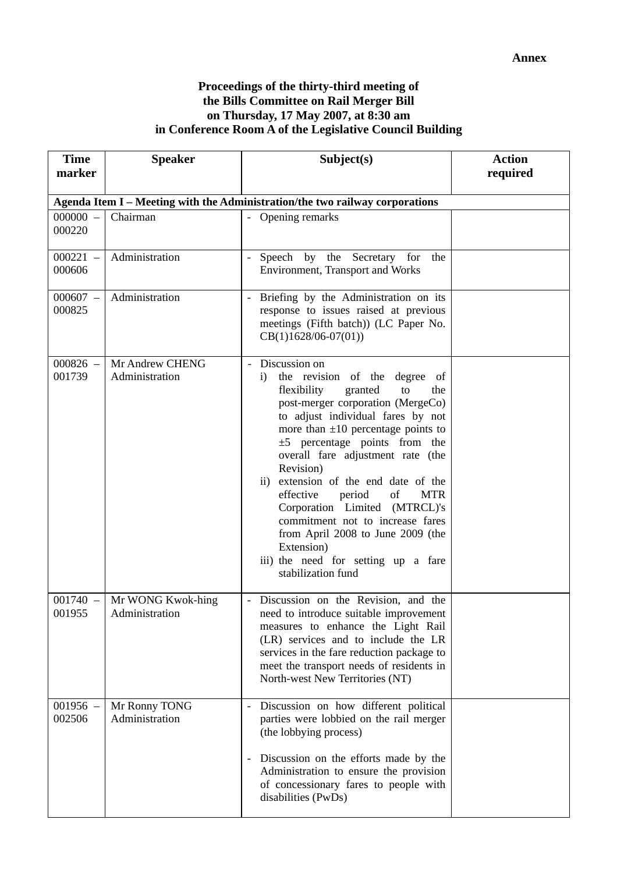#### **Proceedings of the thirty-third meeting of the Bills Committee on Rail Merger Bill on Thursday, 17 May 2007, at 8:30 am in Conference Room A of the Legislative Council Building**

| <b>Time</b><br>marker | <b>Speaker</b>                      | Subject(s)                                                                                                                                                                                                                                                                                                                                                                                                                                                                                                                                                                                   | <b>Action</b><br>required |
|-----------------------|-------------------------------------|----------------------------------------------------------------------------------------------------------------------------------------------------------------------------------------------------------------------------------------------------------------------------------------------------------------------------------------------------------------------------------------------------------------------------------------------------------------------------------------------------------------------------------------------------------------------------------------------|---------------------------|
|                       |                                     | Agenda Item I - Meeting with the Administration/the two railway corporations                                                                                                                                                                                                                                                                                                                                                                                                                                                                                                                 |                           |
| $000000 -$<br>000220  | Chairman                            | - Opening remarks                                                                                                                                                                                                                                                                                                                                                                                                                                                                                                                                                                            |                           |
| $000221 -$<br>000606  | Administration                      | Speech by the Secretary for<br>the<br>$-$<br><b>Environment</b> , Transport and Works                                                                                                                                                                                                                                                                                                                                                                                                                                                                                                        |                           |
| $000607 -$<br>000825  | Administration                      | Briefing by the Administration on its<br>response to issues raised at previous<br>meetings (Fifth batch)) (LC Paper No.<br>$CB(1)1628/06-07(01))$                                                                                                                                                                                                                                                                                                                                                                                                                                            |                           |
| $000826 -$<br>001739  | Mr Andrew CHENG<br>Administration   | - Discussion on<br>the revision of the degree of<br>$\mathbf{i}$<br>flexibility<br>granted<br>to<br>the<br>post-merger corporation (MergeCo)<br>to adjust individual fares by not<br>more than $\pm 10$ percentage points to<br>$\pm 5$ percentage points from the<br>overall fare adjustment rate (the<br>Revision)<br>ii) extension of the end date of the<br>effective<br>of<br><b>MTR</b><br>period<br>Corporation Limited (MTRCL)'s<br>commitment not to increase fares<br>from April 2008 to June 2009 (the<br>Extension)<br>iii) the need for setting up a fare<br>stabilization fund |                           |
| $001740 -$<br>001955  | Mr WONG Kwok-hing<br>Administration | - Discussion on the Revision, and the<br>need to introduce suitable improvement<br>measures to enhance the Light Rail<br>(LR) services and to include the LR<br>services in the fare reduction package to<br>meet the transport needs of residents in<br>North-west New Territories (NT)                                                                                                                                                                                                                                                                                                     |                           |
| $001956 -$<br>002506  | Mr Ronny TONG<br>Administration     | Discussion on how different political<br>$\overline{\phantom{a}}$<br>parties were lobbied on the rail merger<br>(the lobbying process)<br>Discussion on the efforts made by the<br>$\overline{\phantom{a}}$<br>Administration to ensure the provision<br>of concessionary fares to people with<br>disabilities (PwDs)                                                                                                                                                                                                                                                                        |                           |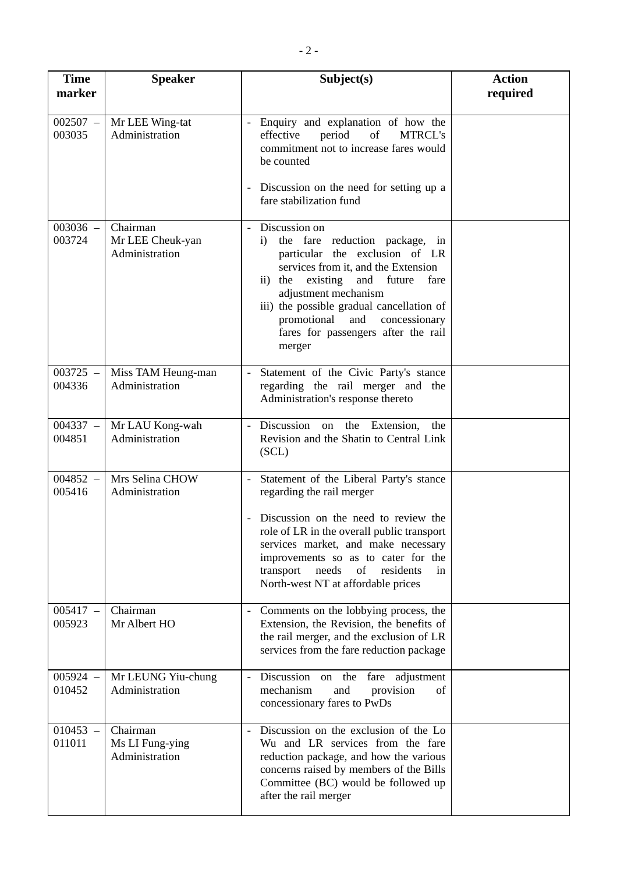| <b>Time</b><br>marker | <b>Speaker</b>                                 | Subject(s)                                                                                                                                                                                                                                                                                                                                                          | <b>Action</b><br>required |
|-----------------------|------------------------------------------------|---------------------------------------------------------------------------------------------------------------------------------------------------------------------------------------------------------------------------------------------------------------------------------------------------------------------------------------------------------------------|---------------------------|
| $002507 -$<br>003035  | Mr LEE Wing-tat<br>Administration              | - Enquiry and explanation of how the<br>effective<br>period<br>of<br><b>MTRCL's</b><br>commitment not to increase fares would<br>be counted<br>Discussion on the need for setting up a<br>fare stabilization fund                                                                                                                                                   |                           |
| $003036 -$<br>003724  | Chairman<br>Mr LEE Cheuk-yan<br>Administration | Discussion on<br>$\overline{\phantom{a}}$<br>the fare reduction package, in<br>$\ddot{i}$<br>particular the exclusion of LR<br>services from it, and the Extension<br>ii) the existing<br>and future<br>fare<br>adjustment mechanism<br>iii) the possible gradual cancellation of<br>promotional and concessionary<br>fares for passengers after the rail<br>merger |                           |
| $003725 -$<br>004336  | Miss TAM Heung-man<br>Administration           | Statement of the Civic Party's stance<br>regarding the rail merger and the<br>Administration's response thereto                                                                                                                                                                                                                                                     |                           |
| $004337 -$<br>004851  | Mr LAU Kong-wah<br>Administration              | Discussion on<br>the<br>Extension,<br>the<br>$\blacksquare$<br>Revision and the Shatin to Central Link<br>(SCL)                                                                                                                                                                                                                                                     |                           |
| $004852 -$<br>005416  | Mrs Selina CHOW<br>Administration              | Statement of the Liberal Party's stance<br>$\blacksquare$<br>regarding the rail merger<br>Discussion on the need to review the<br>role of LR in the overall public transport<br>services market, and make necessary<br>improvements so as to cater for the<br>needs<br>of<br>transport<br>residents<br>in<br>North-west NT at affordable prices                     |                           |
| $005417 -$<br>005923  | Chairman<br>Mr Albert HO                       | Comments on the lobbying process, the<br>$\sim$<br>Extension, the Revision, the benefits of<br>the rail merger, and the exclusion of LR<br>services from the fare reduction package                                                                                                                                                                                 |                           |
| $005924 -$<br>010452  | Mr LEUNG Yiu-chung<br>Administration           | Discussion<br>on the<br>adjustment<br>fare<br>$\overline{\phantom{a}}$<br>mechanism<br>and<br>provision<br>of<br>concessionary fares to PwDs                                                                                                                                                                                                                        |                           |
| $010453 -$<br>011011  | Chairman<br>Ms LI Fung-ying<br>Administration  | Discussion on the exclusion of the Lo<br>Wu and LR services from the fare<br>reduction package, and how the various<br>concerns raised by members of the Bills<br>Committee (BC) would be followed up<br>after the rail merger                                                                                                                                      |                           |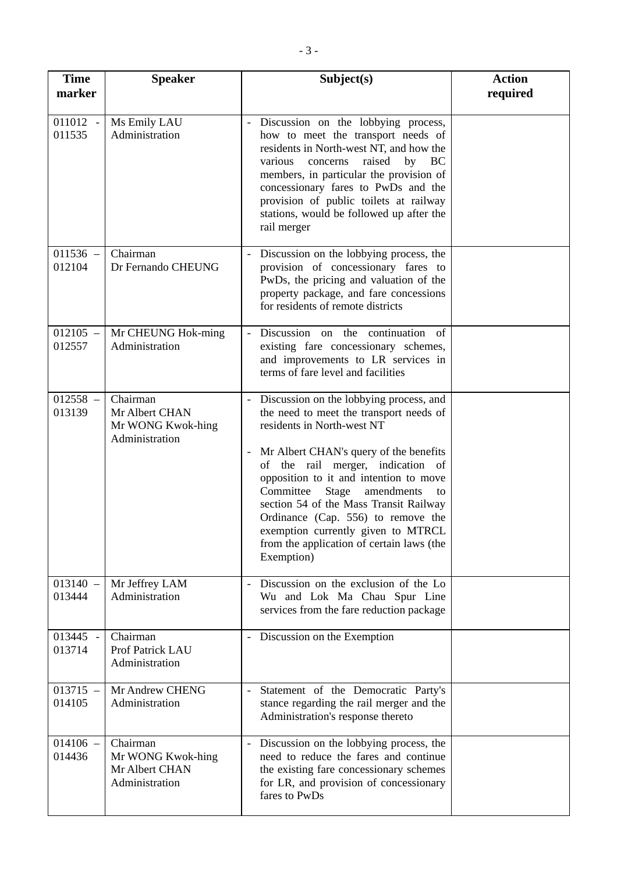| <b>Time</b><br>marker | <b>Speaker</b>                                                    | Subject(s)                                                                                                                                                                                                                                                                                                                                                                                                                                                                                         | <b>Action</b><br>required |
|-----------------------|-------------------------------------------------------------------|----------------------------------------------------------------------------------------------------------------------------------------------------------------------------------------------------------------------------------------------------------------------------------------------------------------------------------------------------------------------------------------------------------------------------------------------------------------------------------------------------|---------------------------|
| 011012 -<br>011535    | Ms Emily LAU<br>Administration                                    | Discussion on the lobbying process,<br>how to meet the transport needs of<br>residents in North-west NT, and how the<br>raised<br>by BC<br>various<br>concerns<br>members, in particular the provision of<br>concessionary fares to PwDs and the<br>provision of public toilets at railway<br>stations, would be followed up after the<br>rail merger                                                                                                                                              |                           |
| $011536 -$<br>012104  | Chairman<br>Dr Fernando CHEUNG                                    | Discussion on the lobbying process, the<br>provision of concessionary fares to<br>PwDs, the pricing and valuation of the<br>property package, and fare concessions<br>for residents of remote districts                                                                                                                                                                                                                                                                                            |                           |
| $012105 -$<br>012557  | Mr CHEUNG Hok-ming<br>Administration                              | Discussion on the continuation of<br>existing fare concessionary schemes,<br>and improvements to LR services in<br>terms of fare level and facilities                                                                                                                                                                                                                                                                                                                                              |                           |
| $012558 -$<br>013139  | Chairman<br>Mr Albert CHAN<br>Mr WONG Kwok-hing<br>Administration | - Discussion on the lobbying process, and<br>the need to meet the transport needs of<br>residents in North-west NT<br>Mr Albert CHAN's query of the benefits<br>$\overline{\phantom{a}}$<br>of the rail merger, indication of<br>opposition to it and intention to move<br>Committee<br>Stage<br>amendments<br>to<br>section 54 of the Mass Transit Railway<br>Ordinance (Cap. 556) to remove the<br>exemption currently given to MTRCL<br>from the application of certain laws (the<br>Exemption) |                           |
| $013140 -$<br>013444  | Mr Jeffrey LAM<br>Administration                                  | Discussion on the exclusion of the Lo<br>$\overline{\phantom{a}}$<br>Wu and Lok Ma Chau Spur Line<br>services from the fare reduction package                                                                                                                                                                                                                                                                                                                                                      |                           |
| 013445 -<br>013714    | Chairman<br>Prof Patrick LAU<br>Administration                    | Discussion on the Exemption<br>$\overline{\phantom{a}}$                                                                                                                                                                                                                                                                                                                                                                                                                                            |                           |
| $013715 -$<br>014105  | Mr Andrew CHENG<br>Administration                                 | Statement of the Democratic Party's<br>$\overline{\phantom{a}}$<br>stance regarding the rail merger and the<br>Administration's response thereto                                                                                                                                                                                                                                                                                                                                                   |                           |
| $014106 -$<br>014436  | Chairman<br>Mr WONG Kwok-hing<br>Mr Albert CHAN<br>Administration | Discussion on the lobbying process, the<br>$\sim$<br>need to reduce the fares and continue<br>the existing fare concessionary schemes<br>for LR, and provision of concessionary<br>fares to PwDs                                                                                                                                                                                                                                                                                                   |                           |